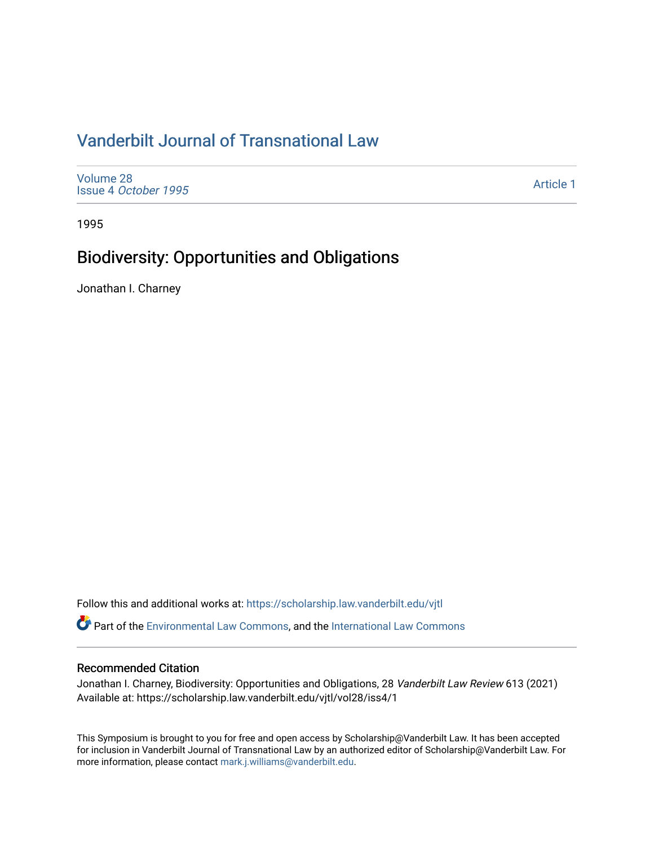# [Vanderbilt Journal of Transnational Law](https://scholarship.law.vanderbilt.edu/vjtl)

[Volume 28](https://scholarship.law.vanderbilt.edu/vjtl/vol28) Issue 4 [October 1995](https://scholarship.law.vanderbilt.edu/vjtl/vol28/iss4)

[Article 1](https://scholarship.law.vanderbilt.edu/vjtl/vol28/iss4/1) 

1995

# Biodiversity: Opportunities and Obligations

Jonathan I. Charney

Follow this and additional works at: [https://scholarship.law.vanderbilt.edu/vjtl](https://scholarship.law.vanderbilt.edu/vjtl?utm_source=scholarship.law.vanderbilt.edu%2Fvjtl%2Fvol28%2Fiss4%2F1&utm_medium=PDF&utm_campaign=PDFCoverPages) 

Part of the [Environmental Law Commons](http://network.bepress.com/hgg/discipline/599?utm_source=scholarship.law.vanderbilt.edu%2Fvjtl%2Fvol28%2Fiss4%2F1&utm_medium=PDF&utm_campaign=PDFCoverPages), and the [International Law Commons](http://network.bepress.com/hgg/discipline/609?utm_source=scholarship.law.vanderbilt.edu%2Fvjtl%2Fvol28%2Fiss4%2F1&utm_medium=PDF&utm_campaign=PDFCoverPages) 

### Recommended Citation

Jonathan I. Charney, Biodiversity: Opportunities and Obligations, 28 Vanderbilt Law Review 613 (2021) Available at: https://scholarship.law.vanderbilt.edu/vjtl/vol28/iss4/1

This Symposium is brought to you for free and open access by Scholarship@Vanderbilt Law. It has been accepted for inclusion in Vanderbilt Journal of Transnational Law by an authorized editor of Scholarship@Vanderbilt Law. For more information, please contact [mark.j.williams@vanderbilt.edu](mailto:mark.j.williams@vanderbilt.edu).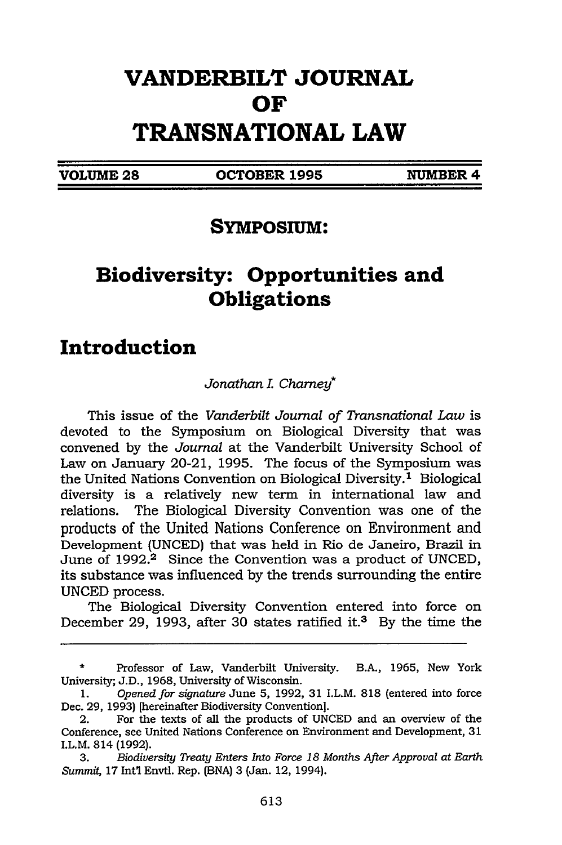# **VANDERBILT JOURNAL OF TRANSNATIONAL LAW**

**VOLUME 28 COTOBER 1995 NUMBER 4** 

### **SYMPosIuM:**

## **Biodiversity: Opportunities and Obligations**

### **Introduction**

#### *Jonathan I. Charney\**

This issue of the *Vanderbilt Journal of Transnational Law* is devoted to the Symposium on Biological Diversity that was convened by the *Journal* at the Vanderbilt University School of Law on January 20-21, 1995. The focus of the Symposium was the United Nations Convention on Biological Diversity.1 Biological diversity is a relatively new term in international law and relations. The Biological Diversity Convention was one of the products of the United Nations Conference on Environment and Development (UNCED) that was held in Rio de Janeiro, Brazil in June of 1992.<sup>2</sup> Since the Convention was a product of UNCED, its substance was influenced by the trends surrounding the entire UNCED process.

The Biological Diversity Convention entered into force on December 29, 1993, after 30 states ratified it.<sup>3</sup> By the time the

Professor of Law, Vanderbilt University. B.A., 1965, New York University; J.D., 1968, University of Wisconsin.

<sup>1.</sup> *Opened for signature* June **5,** 1992, 31 I.L.M. 818 (entered into force Dec. 29, 1993) [hereinafter Biodiversity Convention].

<sup>2.</sup> For the texts of all the products of UNCED and an overview of the Conference, see United Nations Conference on Environment and Development, 31 I.L.M. 814 (1992).

**<sup>3.</sup>** *Biodiversity Treaty Enters Into Force 18 Months After Approval at Earth Summit,* 17 Intl Envtl. Rep. (BNA) 3 (Jan. 12, 1994).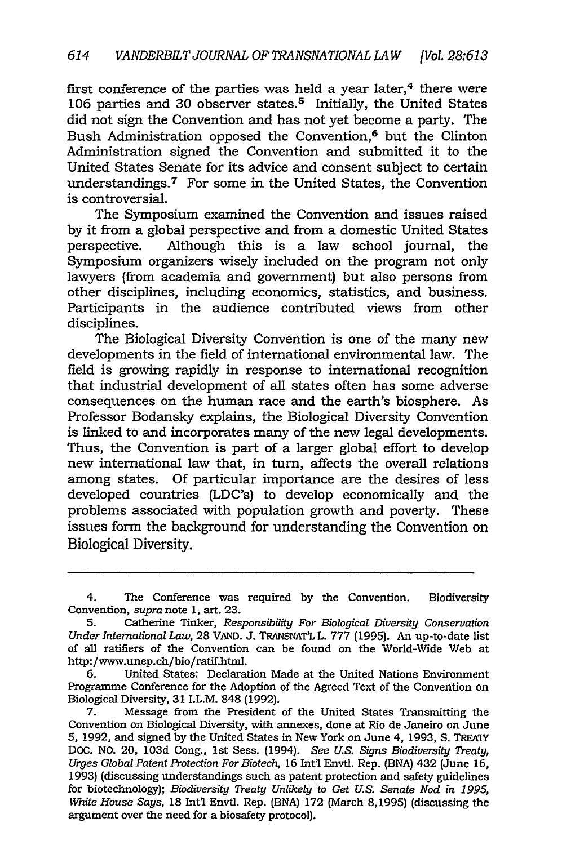first conference of the parties was held a year later, $4$  there were 106 parties and 30 observer states.<sup>5</sup> Initially, the United States did not sign the Convention and has not yet become a party. The Bush Administration opposed the Convention,<sup>6</sup> but the Clinton Administration signed the Convention and submitted it to the United States Senate for its advice and consent subject to certain understandings.<sup>7</sup> For some in the United States, the Convention is controversial.

The Symposium examined the Convention and issues raised by it from a global perspective and from a domestic United States perspective. Although this is a law school journal, the Symposium organizers wisely included on the program not only lawyers (from academia and government) but also persons from other disciplines, including economics, statistics, and business. Participants in the audience contributed views from other disciplines.

The Biological Diversity Convention is one of the many new developments in the field of international environmental law. The field is growing rapidly in response to international recognition that industrial development of all states often has some adverse consequences on the human race and the earth's biosphere. As Professor Bodansky explains, the Biological Diversity Convention is linked to and incorporates many of the new legal developments. Thus, the Convention is part of a larger global effort to develop new international law that, in turn, affects the overall relations among states. Of particular importance are the desires of less developed countries (LDC's) to develop economically and the problems associated with population growth and poverty. These issues form the background for understanding the Convention on Biological Diversity.

6. United States: Declaration Made at the United Nations Environment Programme Conference for the Adoption of the Agreed Text of the Convention on Biological Diversity, 31 I.L.M. 848 (1992).

<sup>4.</sup> The Conference was required by the Convention. Biodiversity Convention, *supra* note 1, art. 23.

**<sup>5.</sup>** Catherine Tinker, *Responsibility For Biological Diversity Conservation Under International Law,* 28 VAND. J. TRANSNATL L. 777 (1995). An up-to-date list of all ratifiers of the Convention can be found on the World-Wide Web at http:/www.unep.ch/bio/ratif.html.

<sup>7.</sup> Message from the President of the United States Transmitting the Convention on Biological Diversity, with annexes, done at Rio de Janeiro on June 5, 1992, and signed by the United States in New York on June 4, 1993, S. TREATY DOC. No. 20, 103d Cong., 1st Sess. (1994). *See U.S. Signs Biodiversity Treaty, Urges Global Patent Protection For Biotech,* 16 Int'l Envtl. Rep. (BNA) 432 (June 16, 1993) (discussing understandings such as patent protection and safety guidelines for biotechnology); *Biodiversity Treaty Unlikely to Get U.S. Senate Nod in 1995, White House Says,* 18 Int'l Envtl. Rep. (BNA) 172 (March 8,1995) (discussing the argument over the need for a biosafety protocol).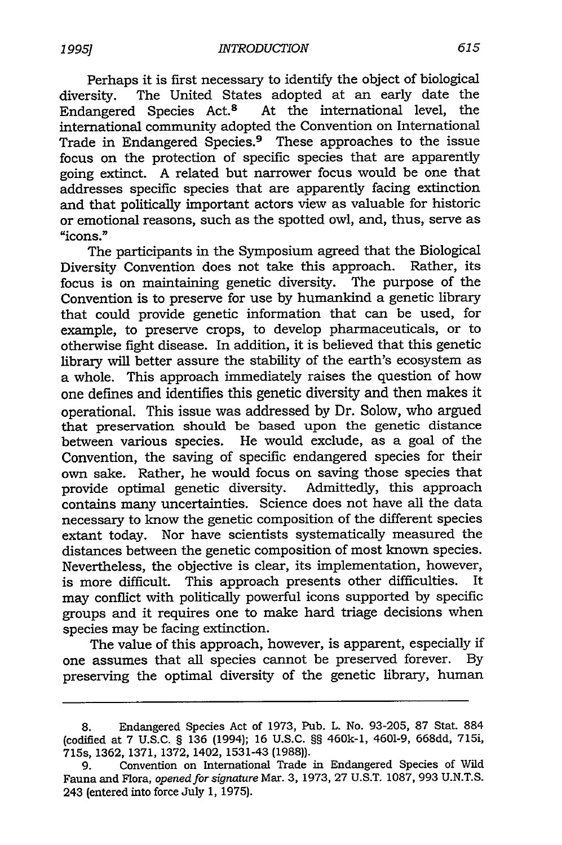Perhaps it is first necessary to identify the object of biological diversity. The United States adopted at an early date the Endangered Species Act.8 At the international level, the international community adopted the Convention on International Trade in Endangered Species.<sup>9</sup> These approaches to the issue focus on the protection of specific species that are apparently going extinct. A related but narrower focus would be one that addresses specific species that are apparently facing extinction and that politically important actors view as valuable for historic or emotional reasons, such as the spotted owl, and, thus, serve as "icons."

The participants in the Symposium agreed that the Biological Diversity Convention does not take this approach. Rather, its focus is on maintaining genetic diversity. The purpose of the Convention is to preserve for use by humankind a genetic library that could provide genetic information that can be used, for example, to preserve crops, to develop pharmaceuticals, or to otherwise fight disease. In addition, it is believed that this genetic library will better assure the stability of the earth's ecosystem as a whole. This approach immediately raises the question of how one defines and identifies this genetic diversity and then makes it operational. This issue was addressed by Dr. Solow, who argued that preservation should be based upon the genetic distance between various species. He would exclude, as a goal of the Convention, the saving of specific endangered species for their own sake. Rather, he would focus on saving those species that provide optimal genetic diversity. Admittedly, this approach contains many uncertainties. Science does not have all the data necessary to know the genetic composition of the different species extant today. Nor have scientists systematically measured the distances between the genetic composition of most known species. Nevertheless, the objective is clear, its implementation, however, is more difficult. This approach presents other difficulties. It may conflict with politically powerful icons supported by specific groups and it requires one to make hard triage decisions when species may be facing extinction.

The value of this approach, however, is apparent, especially if one assumes that all species cannot be preserved forever. By preserving the optimal diversity of the genetic library, human

<sup>8.</sup> Endangered Species Act of 1973, Pub. L. No. 93-205, 87 Stat. 884 (codified at 7 U.S.C. § 136 (1994); 16 U.S.C. §§ 460k-i, 4601-9, 668dd, 715i, 715s, 1362, 1371, 1372, 1402, 1531-43 (1988)).

<sup>9.</sup> Convention on International Trade in Endangered Species of Wild Fauna and Flora, *opened for signature* Mar. **3,** 1973, 27 U.S.T. **1087,** 993 U.N.T.S. 243 (entered into force July 1, 1975).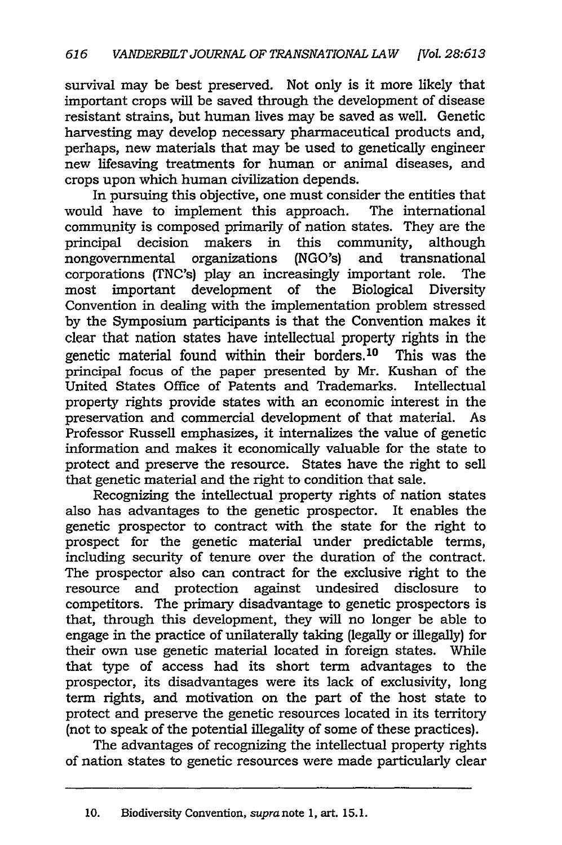survival may be best preserved. Not only is it more likely that important crops will be saved through the development of disease resistant strains, but human lives may be saved as well. Genetic harvesting may develop necessary pharmaceutical products and, perhaps, new materials that may be used to genetically engineer new lifesaving treatments for human or animal diseases, and crops upon which human civilization depends.

In pursuing this objective, one must consider the entities that would have to implement this approach. The international community is composed primarily of nation states. They are the principal decision makers in this community, although nongovernmental organizations (NGO's) and transnational corporations (TNC's) play an increasingly important role. The most important development of the Biological Diversity Convention in dealing with the implementation problem stressed by the Symposium participants is that the Convention makes it clear that nation states have intellectual property rights in the genetic material found within their borders.10 This was the principal focus of the paper presented by Mr. Kushan of the United States Office of Patents and Trademarks. Intellectual property rights provide states with an economic interest in the preservation and commercial development of that material. As Professor Russell emphasizes, it internalizes the value of genetic information and makes it economically valuable for the state to protect and preserve the resource. States have the right to sell that genetic material and the right to condition that sale.

Recognizing the intellectual property rights of nation states also has advantages to the genetic prospector. It enables the genetic prospector to contract with the state for the right to prospect for the genetic material under predictable terms, including security of tenure over the duration of the contract. The prospector also can contract for the exclusive right to the resource and protection against undesired disclosure to competitors. The primary disadvantage to genetic prospectors is that, through this development, they will no longer be able to engage in the practice of unilaterally taking (legally or illegally) for their own use genetic material located in foreign states. While that type of access had its short term advantages to the prospector, its disadvantages were its lack of exclusivity, long term rights, and motivation on the part of the host state to protect and preserve the genetic resources located in its territory (not to speak of the potential illegality of some of these practices).

The advantages of recognizing the intellectual property rights of nation states to genetic resources were made particularly clear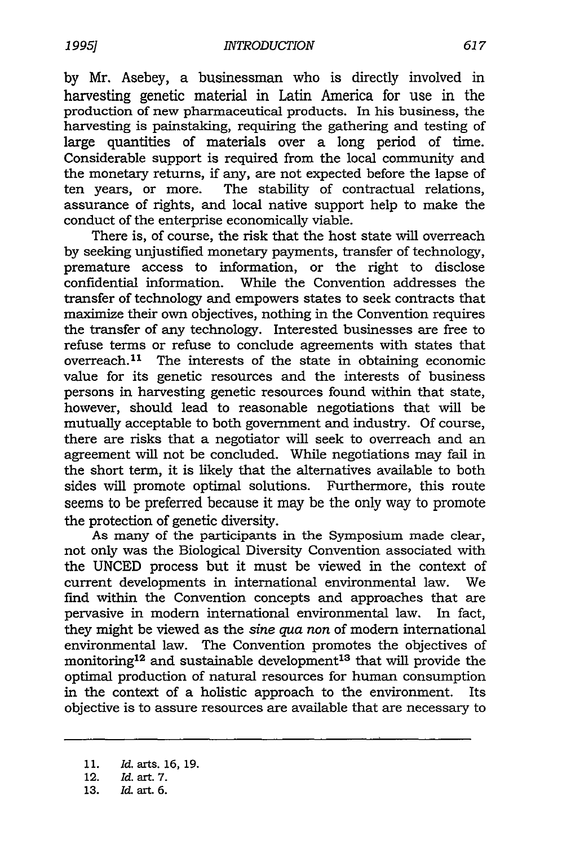by Mr. Asebey, a businessman who is directly involved in harvesting genetic material in Latin America for use in the production of new pharmaceutical products. In his business, the harvesting is painstaking, requiring the gathering and testing of large quantities of materials over a long period of time. Considerable support is required from the local community and the monetary returns, if any, are not expected before the lapse of ten years, or more. The stability of contractual relations, assurance of rights, and local native support help to make the conduct of the enterprise economically viable.

There is, of course, the risk that the host state will overreach by seeking unjustified monetary payments, transfer of technology, premature access to information, or the right to disclose confidential information. While the Convention addresses the transfer of technology and empowers states to seek contracts that maximize their own objectives, nothing in the Convention requires the transfer of any technology. Interested businesses are free to refuse terms or refuse to conclude agreements with states that overreach. $11$  The interests of the state in obtaining economic value for its genetic resources and the interests of business persons in harvesting genetic resources found within that state, however, should lead to reasonable negotiations that will be mutually acceptable to both government and industry. Of course, there are risks that a negotiator will seek to overreach and an agreement will not be concluded. While negotiations may fail in the short term, it is likely that the alternatives available to both sides will promote optimal solutions. Furthermore, this route seems to be preferred because it may be the only way to promote the protection of genetic diversity.

As many of the participants in the Symposium made clear, not only was the Biological Diversity Convention associated with the UNCED process but it must be viewed in the context of current developments in international environmental law. We find within the Convention concepts and approaches that are pervasive in modem international environmental law. In fact, they might be viewed as the *sine qua non* of modem international environmental law. The Convention promotes the objectives of monitoring<sup>12</sup> and sustainable development<sup>13</sup> that will provide the optimal production of natural resources for human consumption in the context of a holistic approach to the environment. Its objective is to assure resources are available that are necessary to

<sup>11.</sup> *Id.* arts. 16, 19.

<sup>12.</sup> *Id.* art. *7.*

<sup>13.</sup> *Id.* art. 6.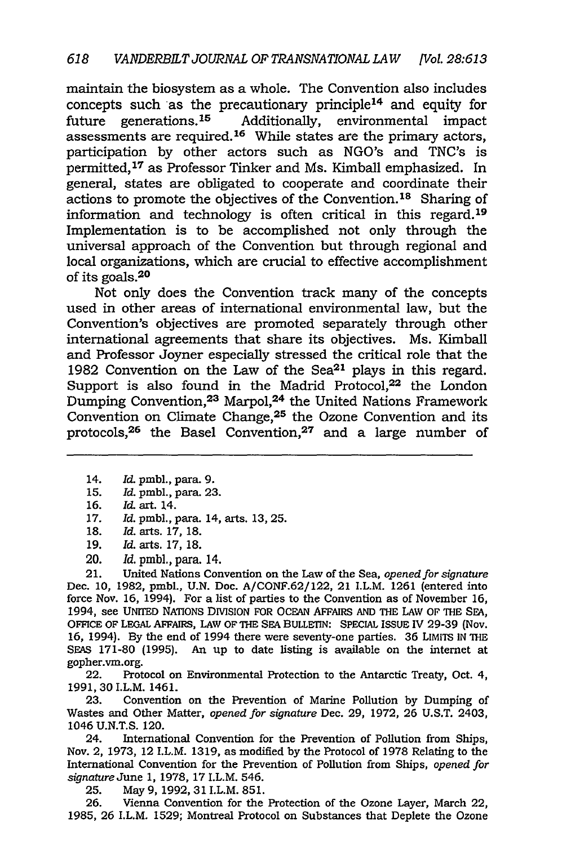maintain the biosystem as a whole. The Convention also includes concepts such as the precautionary principle<sup>14</sup> and equity for future generations. **is** Additionally, environmental impact assessments are required. 16 While states are the primary actors, participation by other actors such as NGO's and TNC's is permitted, 17 as Professor Tinker and Ms. Kimball emphasized. In general, states are obligated to cooperate and coordinate their actions to promote the objectives of the Convention.<sup>18</sup> Sharing of information and technology is often critical in this regard.<sup>19</sup> Implementation is to be accomplished not only through the universal approach of the Convention but through regional and local organizations, which are crucial to effective accomplishment of its goals. $20$ 

Not only does the Convention track many of the concepts used in other areas of international environmental law, but the Convention's objectives are promoted separately through other international agreements that share its objectives. Ms. Kimball and Professor Joyner especially stressed the critical role that the 1982 Convention on the Law of the Sea<sup>21</sup> plays in this regard. Support is also found in the Madrid Protocol, $22$  the London Dumping Convention,<sup>23</sup> Marpol,<sup>24</sup> the United Nations Framework Convention on Climate Change, $25$  the Ozone Convention and its protocols,<sup>26</sup> the Basel Convention,<sup>27</sup> and a large number of

- 18. *Id.* arts. 17, 18.
- 19. *Id.* arts. 17, 18.
- 20. *Id.* pmbl., para. 14.

21. United Nations Convention on the Law of the Sea, *opened for signature* Dec. **10,** 1982, pmbl., U.N. Doc. A/CONF.62/122, 21 I.L.M. 1261 (entered into force Nov. 16, 1994). For a list of parties to the Convention as of November **16,** 1994, see UNITED NATIONS DIVISION FOR OCEAN AFFAIRS AND THE LAW OF THE SEA, OFFICE OF LEGAL AFFAIRS, LAW OF THE **SEA** BULLETIN: SPECIAL ISSUE IV 29-39 (Nov. **16,** 1994). By the end of 1994 there were seventy-one parties. 36 LIMITS **IN** 'TE. SEAS 171-80 (1995). An up to date listing is available on the internet at gopher.vm.org.

22. Protocol on Environmental Protection to the Antarctic Treaty, Oct. 4, 1991, 30 I.L.M. 1461.

23. Convention on the Prevention of Marine Pollution by Dumping of Wastes and Other Matter, *opened for signature* Dec. 29, 1972, 26 U.S.T. 2403, 1046 U.N.T.S. 120.

24. International Convention for the Prevention of Pollution from Ships, Nov. 2, 1973, 12 I.L.M. 1319, as modified by the Protocol of 1978 Relating to the International Convention for the Prevention of Pollution from Ships, *opened for* signature June 1, 1978, 17 I.L.M. 546.

25. May **9,** 1992, 31 I.L.M. 851.

26. Vienna Convention for the Protection of the Ozone Layer, March 22, 1985, 26 I.L.M. 1529; Montreal Protocol on Substances that Deplete the Ozone

<sup>14.</sup> *Id.* pmbl., para. **9.**

<sup>15.</sup> *Id.* pmbl., para. 23.

<sup>16.</sup> *Id.* art. 14.

<sup>17.</sup> *Id.* pmbl., para. 14, arts. 13, 25.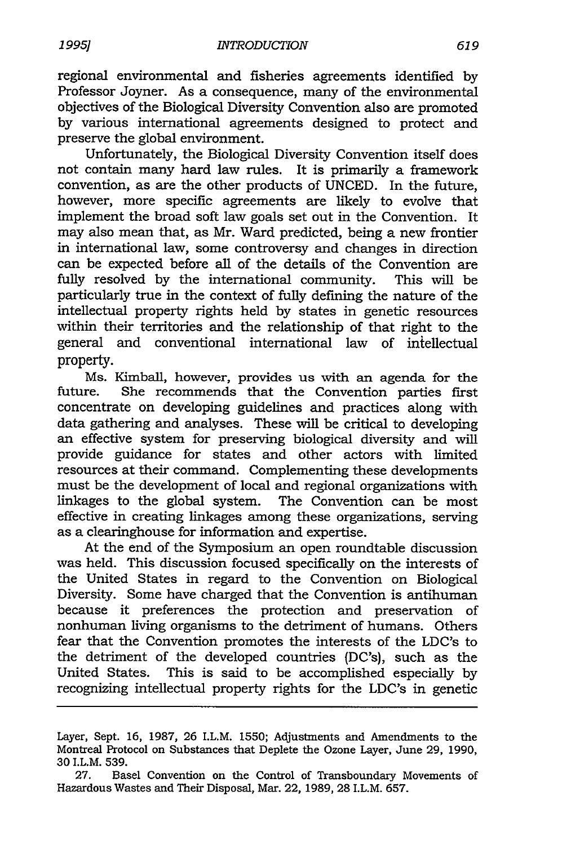regional environmental and fisheries agreements identified by Professor Joyner. As a consequence, many of the environmental objectives of the Biological Diversity Convention also are promoted by various international agreements designed to protect and preserve the global environment.

Unfortunately, the Biological Diversity Convention itself does not contain many hard law rules. It is primarily a framework convention, as are the other products of UNCED. In the future, however, more specific agreements are likely to evolve that implement the broad soft law goals set out in the Convention. It may also mean that, as Mr. Ward predicted, being a new frontier in international law, some controversy and changes in direction can be expected before all of the details of the Convention are fully resolved by the international community. This will be particularly true in the context of fully defining the nature of the intellectual property rights held by states in genetic resources within their territories and the relationship of that right to the general and conventional international law of intellectual property.

Ms. Kimball, however, provides us with an agenda for the future. She recommends that the Convention parties first concentrate on developing guidelines and practices along with data gathering and analyses. These will be critical to developing an effective system for preserving biological diversity and will provide guidance for states and other actors with limited resources at their command. Complementing these developments must be the development of local and regional organizations with linkages to the global system. The Convention can be most effective in creating linkages among these organizations, serving as a clearinghouse for information and expertise.

At the end of the Symposium an open roundtable discussion was held. This discussion focused specifically on the interests of the United States in regard to the Convention on Biological Diversity. Some have charged that the Convention is antihuman because it preferences the protection and preservation of nonhuman living organisms to the detriment of humans. Others fear that the Convention promotes the interests of the LDC's to the detriment of the developed countries (DC's), such as the United States. This is said to be accomplished especially by recognizing intellectual property rights for the LDC's in genetic

Layer, Sept. **16, 1987,** 26 I.L.M. 1550; Adjustments and Amendments to the Montreal Protocol on Substances that Deplete the Ozone Layer, June 29, 1990, 30 I.L.M. 539.

<sup>27.</sup> Basel Convention on the Control of Transboundary Movements of Hazardous Wastes and Their Disposal, Mar. 22, 1989, 28 I.L.M. 657.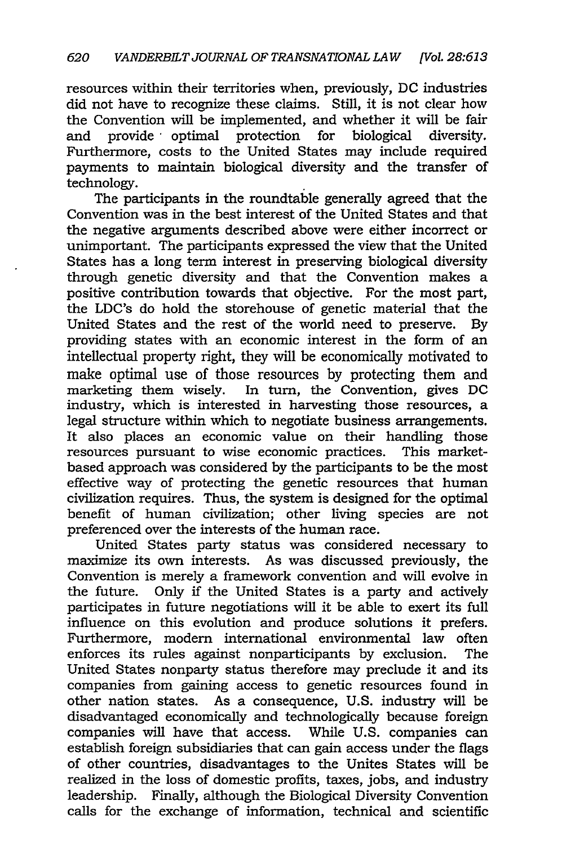resources within their territories when, previously, DC industries did not have to recognize these claims. Still, it is not clear how the Convention will be implemented, and whether it will be fair and provide optimal protection for biological diversity. Furthermore, costs to the United States may include required payments to maintain biological diversity and the transfer of technology.

The participants in the roundtable generally agreed that the Convention was in the best interest of the United States and that the negative arguments described above were either incorrect or unimportant. The participants expressed the view that the United States has a long term interest in preserving biological diversity through genetic diversity and that the Convention makes a positive contribution towards that objective. For the most part, the LDC's do hold the storehouse of genetic material that the United States and the rest of the world need to preserve. By providing states with an economic interest in the form of an intellectual property right, they will be economically motivated to make optimal use of those resources by protecting them and marketing them wisely. In turn, the Convention, gives DC industry, which is interested in harvesting those resources, a legal structure within which to negotiate business arrangements. It also places an economic value on their handling those resources pursuant to wise economic practices. This marketbased approach was considered by the participants to be the most effective way of protecting the genetic resources that human civilization requires. Thus, the system is designed for the optimal benefit of human civilization; other living species are not preferenced over the interests of the human race.

United States party status was considered necessary to maximize its own interests. As was discussed previously, the Convention is merely a framework convention and will evolve in the future. Only if the United States is a party and actively participates in future negotiations will it be able to exert its full influence on this evolution and produce solutions it prefers. Furthermore, modem international environmental law often enforces its rules against nonparticipants by exclusion. The United States nonparty status therefore may preclude it and its companies from gaining access to genetic resources found in other nation states. As a consequence, U.S. industry will be disadvantaged economically and technologically because foreign companies will have that access. While U.S. companies can establish foreign subsidiaries that can gain access under the flags of other countries, disadvantages to the Unites States will be realized in the loss of domestic profits, taxes, jobs, and industry leadership. Finally, although the Biological Diversity Convention calls for the exchange of information, technical and scientific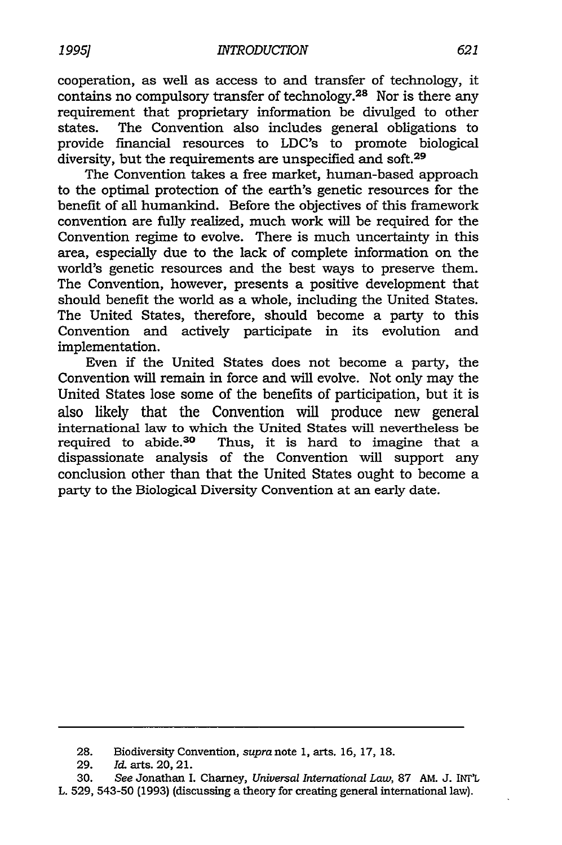cooperation, as well as access to and transfer of technology, it contains no compulsory transfer of technology. 28 Nor is there any requirement that proprietary information be divulged to other states. The Convention also includes general obligations to provide financial resources to LDC's to promote biological diversity, but the requirements are unspecified and soft.<sup>29</sup>

The Convention takes a free market, human-based approach to the optimal protection of the earth's genetic resources for the benefit of all humankind. Before the objectives of this framework convention are fully realized, much work will be required for the Convention regime to evolve. There is much uncertainty in this area, especially due to the lack of complete information on the world's genetic resources and the best ways to preserve them. The Convention, however, presents a positive development that should benefit the world as a whole, including the United States. The United States, therefore, should become a party to this Convention and actively participate in its evolution and implementation.

Even if the United States does not become a party, the Convention will remain in force and will evolve. Not only may the United States lose some of the benefits of participation, but it is also likely that the Convention will produce new general international law to which the United States will nevertheless be required to abide. $30$  Thus, it is hard to imagine that a dispassionate analysis of the Convention will support any conclusion other than that the United States ought to become a party to the Biological Diversity Convention at an early date.

<sup>28.</sup> Biodiversity Convention, *supra* note 1, arts. 16, 17, 18.

<sup>29.</sup> Id. arts. 20,21.

<sup>30.</sup> *See* Jonathan I. Charney, *Universal International Law,* 87 AM. J. INTL L. 529, 543-50 (1993) (discussing a theory for creating general international law).